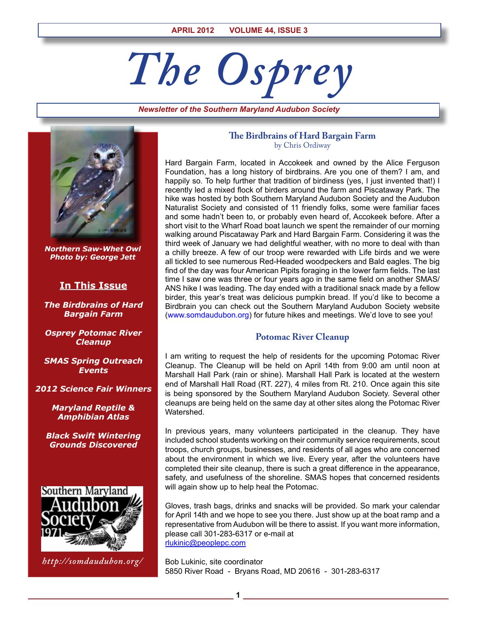# *The Osprey*

*Newsletter of the Southern Maryland Audubon Society*



*Northern Saw-Whet Owl Photo by: George Jett*

# **In This Issue**

*The Birdbrains of Hard Bargain Farm*

*Osprey Potomac River Cleanup*

*SMAS Spring Outreach Events*

*2012 Science Fair Winners*

*Maryland Reptile & Amphibian Atlas*

*Black Swift Wintering Grounds Discovered*



*http://somdaudubon.org/*

## **The Birdbrains of Hard Bargain Farm** by Chris Ordiway

Hard Bargain Farm, located in Accokeek and owned by the Alice Ferguson Foundation, has a long history of birdbrains. Are you one of them? I am, and happily so. To help further that tradition of birdiness (yes, I just invented that!) I recently led a mixed flock of birders around the farm and Piscataway Park. The hike was hosted by both Southern Maryland Audubon Society and the Audubon Naturalist Society and consisted of 11 friendly folks, some were familiar faces and some hadn't been to, or probably even heard of, Accokeek before. After a short visit to the Wharf Road boat launch we spent the remainder of our morning walking around Piscataway Park and Hard Bargain Farm. Considering it was the third week of January we had delightful weather, with no more to deal with than a chilly breeze. A few of our troop were rewarded with Life birds and we were all tickled to see numerous Red-Headed woodpeckers and Bald eagles. The big find of the day was four American Pipits foraging in the lower farm fields. The last time I saw one was three or four years ago in the same field on another SMAS/ ANS hike I was leading. The day ended with a traditional snack made by a fellow birder, this year's treat was delicious pumpkin bread. If you'd like to become a Birdbrain you can check out the Southern Maryland Audubon Society website (www.somdaudubon.org) for future hikes and meetings. We'd love to see you!

# **Potomac River Cleanup**

I am writing to request the help of residents for the upcoming Potomac River Cleanup. The Cleanup will be held on April 14th from 9:00 am until noon at Marshall Hall Park (rain or shine). Marshall Hall Park is located at the western end of Marshall Hall Road (RT. 227), 4 miles from Rt. 210. Once again this site is being sponsored by the Southern Maryland Audubon Society. Several other cleanups are being held on the same day at other sites along the Potomac River Watershed.

In previous years, many volunteers participated in the cleanup. They have included school students working on their community service requirements, scout troops, church groups, businesses, and residents of all ages who are concerned about the environment in which we live. Every year, after the volunteers have completed their site cleanup, there is such a great difference in the appearance, safety, and usefulness of the shoreline. SMAS hopes that concerned residents will again show up to help heal the Potomac.

Gloves, trash bags, drinks and snacks will be provided. So mark your calendar for April 14th and we hope to see you there. Just show up at the boat ramp and a representative from Audubon will be there to assist. If you want more information, please call 301-283-6317 or e-mail at rlukinic@peoplepc.com

Bob Lukinic, site coordinator 5850 River Road - Bryans Road, MD 20616 - 301-283-6317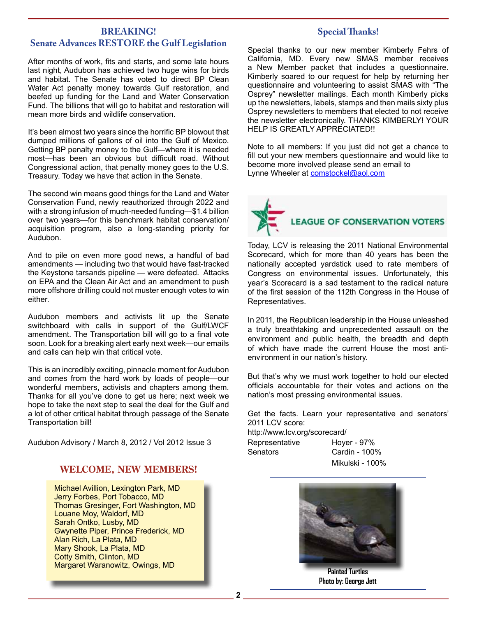## **BREAKING! Senate Advances RESTORE the Gulf Legislation**

After months of work, fits and starts, and some late hours last night, Audubon has achieved two huge wins for birds and habitat. The Senate has voted to direct BP Clean Water Act penalty money towards Gulf restoration, and beefed up funding for the Land and Water Conservation Fund. The billions that will go to habitat and restoration will mean more birds and wildlife conservation.

It's been almost two years since the horrific BP blowout that dumped millions of gallons of oil into the Gulf of Mexico. Getting BP penalty money to the Gulf—where it is needed most—has been an obvious but difficult road. Without Congressional action, that penalty money goes to the U.S. Treasury. Today we have that action in the Senate.

The second win means good things for the Land and Water Conservation Fund, newly reauthorized through 2022 and with a strong infusion of much-needed funding—\$1.4 billion over two years—for this benchmark habitat conservation/ acquisition program, also a long-standing priority for Audubon.

And to pile on even more good news, a handful of bad amendments — including two that would have fast-tracked the Keystone tarsands pipeline — were defeated. Attacks on EPA and the Clean Air Act and an amendment to push more offshore drilling could not muster enough votes to win either.

Audubon members and activists lit up the Senate switchboard with calls in support of the Gulf/LWCF amendment. The Transportation bill will go to a final vote soon. Look for a breaking alert early next week—our emails and calls can help win that critical vote.

This is an incredibly exciting, pinnacle moment for Audubon and comes from the hard work by loads of people—our wonderful members, activists and chapters among them. Thanks for all you've done to get us here; next week we hope to take the next step to seal the deal for the Gulf and a lot of other critical habitat through passage of the Senate Transportation bill!

Audubon Advisory / March 8, 2012 / Vol 2012 Issue 3

# **WELCOME, NEW MEMBERS!**

Michael Avillion, Lexington Park, MD Jerry Forbes, Port Tobacco, MD Thomas Gresinger, Fort Washington, MD Louane Moy, Waldorf, MD Sarah Ontko, Lusby, MD Gwynette Piper, Prince Frederick, MD Alan Rich, La Plata, MD Mary Shook, La Plata, MD Cotty Smith, Clinton, MD Margaret Waranowitz, Owings, MD

# **Special Thanks!**

Special thanks to our new member Kimberly Fehrs of California, MD. Every new SMAS member receives a New Member packet that includes a questionnaire. Kimberly soared to our request for help by returning her questionnaire and volunteering to assist SMAS with "The Osprey" newsletter mailings. Each month Kimberly picks up the newsletters, labels, stamps and then mails sixty plus Osprey newsletters to members that elected to not receive the newsletter electronically. THANKS KIMBERLY! YOUR HELP IS GREATLY APPRECIATED!!

Note to all members: If you just did not get a chance to fill out your new members questionnaire and would like to become more involved please send an email to Lynne Wheeler at comstockel@aol.com



Today, LCV is releasing the 2011 National Environmental Scorecard, which for more than 40 years has been the nationally accepted yardstick used to rate members of Congress on environmental issues. Unfortunately, this year's Scorecard is a sad testament to the radical nature of the first session of the 112th Congress in the House of Representatives.

In 2011, the Republican leadership in the House unleashed a truly breathtaking and unprecedented assault on the environment and public health, the breadth and depth of which have made the current House the most antienvironment in our nation's history.

But that's why we must work together to hold our elected officials accountable for their votes and actions on the nation's most pressing environmental issues.

Get the facts. Learn your representative and senators' 2011 LCV score:

http://www.lcv.org/scorecard/ Representative Hoyer - 97%

Senators Cardin - 100% Mikulski - 100%



**Painted Turtles Photo by: George Jett**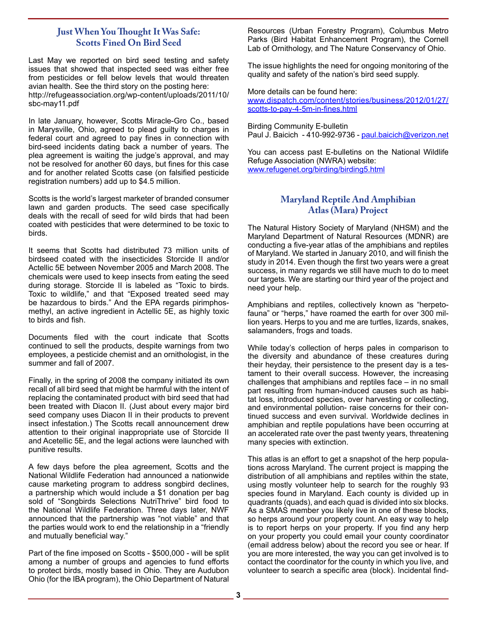# **Just When You Thought It Was Safe: Scotts Fined On Bird Seed**

Last May we reported on bird seed testing and safety issues that showed that inspected seed was either free from pesticides or fell below levels that would threaten avian health. See the third story on the posting here: http://refugeassociation.org/wp-content/uploads/2011/10/ sbc-may11.pdf

In late January, however, Scotts Miracle-Gro Co., based in Marysville, Ohio, agreed to plead guilty to charges in federal court and agreed to pay fines in connection with bird-seed incidents dating back a number of years. The plea agreement is waiting the judge's approval, and may not be resolved for another 60 days, but fines for this case and for another related Scotts case (on falsified pesticide registration numbers) add up to \$4.5 million.

Scotts is the world's largest marketer of branded consumer lawn and garden products. The seed case specifically deals with the recall of seed for wild birds that had been coated with pesticides that were determined to be toxic to birds.

It seems that Scotts had distributed 73 million units of birdseed coated with the insecticides Storcide II and/or Actellic 5E between November 2005 and March 2008. The chemicals were used to keep insects from eating the seed during storage. Storcide II is labeled as "Toxic to birds. Toxic to wildlife," and that "Exposed treated seed may be hazardous to birds." And the EPA regards pirimphosmethyl, an active ingredient in Actellic 5E, as highly toxic to birds and fish.

Documents filed with the court indicate that Scotts continued to sell the products, despite warnings from two employees, a pesticide chemist and an ornithologist, in the summer and fall of 2007.

Finally, in the spring of 2008 the company initiated its own recall of all bird seed that might be harmful with the intent of replacing the contaminated product with bird seed that had been treated with Diacon II. (Just about every major bird seed company uses Diacon II in their products to prevent insect infestation.) The Scotts recall announcement drew attention to their original inappropriate use of Storcide II and Acetellic 5E, and the legal actions were launched with punitive results.

A few days before the plea agreement, Scotts and the National Wildlife Federation had announced a nationwide cause marketing program to address songbird declines, a partnership which would include a \$1 donation per bag sold of "Songbirds Selections NutriThrive" bird food to the National Wildlife Federation. Three days later, NWF announced that the partnership was "not viable" and that the parties would work to end the relationship in a "friendly and mutually beneficial way."

Part of the fine imposed on Scotts - \$500,000 - will be split among a number of groups and agencies to fund efforts to protect birds, mostly based in Ohio. They are Audubon Ohio (for the IBA program), the Ohio Department of Natural Resources (Urban Forestry Program), Columbus Metro Parks (Bird Habitat Enhancement Program), the Cornell Lab of Ornithology, and The Nature Conservancy of Ohio.

The issue highlights the need for ongoing monitoring of the quality and safety of the nation's bird seed supply.

More details can be found here:

www.dispatch.com/content/stories/business/2012/01/27/ scotts-to-pay-4-5m-in-fines.html

Birding Community E-bulletin Paul J. Baicich - 410-992-9736 - paul.baicich@verizon.net

You can access past E-bulletins on the National Wildlife Refuge Association (NWRA) website: www.refugenet.org/birding/birding5.html

# **Maryland Reptile And Amphibian Atlas (Mara) Project**

The Natural History Society of Maryland (NHSM) and the Maryland Department of Natural Resources (MDNR) are conducting a five-year atlas of the amphibians and reptiles of Maryland. We started in January 2010, and will finish the study in 2014. Even though the first two years were a great success, in many regards we still have much to do to meet our targets. We are starting our third year of the project and need your help.

Amphibians and reptiles, collectively known as "herpetofauna" or "herps," have roamed the earth for over 300 million years. Herps to you and me are turtles, lizards, snakes, salamanders, frogs and toads.

While today's collection of herps pales in comparison to the diversity and abundance of these creatures during their heyday, their persistence to the present day is a testament to their overall success. However, the increasing challenges that amphibians and reptiles face – in no small part resulting from human-induced causes such as habitat loss, introduced species, over harvesting or collecting, and environmental pollution- raise concerns for their continued success and even survival. Worldwide declines in amphibian and reptile populations have been occurring at an accelerated rate over the past twenty years, threatening many species with extinction.

This atlas is an effort to get a snapshot of the herp populations across Maryland. The current project is mapping the distribution of all amphibians and reptiles within the state, using mostly volunteer help to search for the roughly 93 species found in Maryland. Each county is divided up in quadrants (quads), and each quad is divided into six blocks. As a SMAS member you likely live in one of these blocks, so herps around your property count. An easy way to help is to report herps on your property. If you find any herp on your property you could email your county coordinator (email address below) about the record you see or hear. If you are more interested, the way you can get involved is to contact the coordinator for the county in which you live, and volunteer to search a specific area (block). Incidental find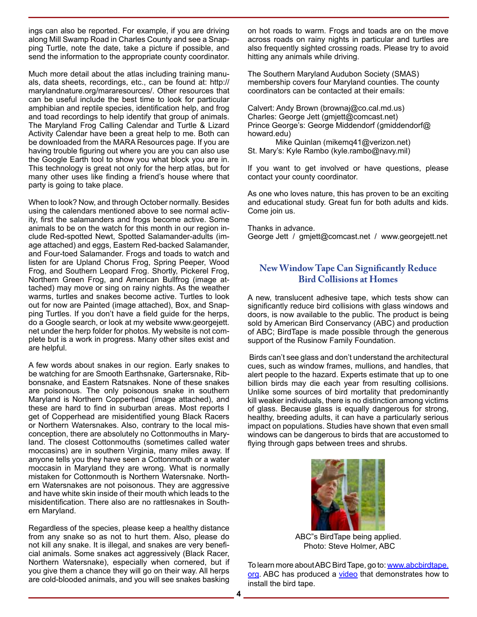ings can also be reported. For example, if you are driving along Mill Swamp Road in Charles County and see a Snapping Turtle, note the date, take a picture if possible, and send the information to the appropriate county coordinator.

Much more detail about the atlas including training manuals, data sheets, recordings, etc., can be found at: http:// marylandnature.org/mararesources/. Other resources that can be useful include the best time to look for particular amphibian and reptile species, identification help, and frog and toad recordings to help identify that group of animals. The Maryland Frog Calling Calendar and Turtle & Lizard Activity Calendar have been a great help to me. Both can be downloaded from the MARA Resources page. If you are having trouble figuring out where you are you can also use the Google Earth tool to show you what block you are in. This technology is great not only for the herp atlas, but for many other uses like finding a friend's house where that party is going to take place.

When to look? Now, and through October normally. Besides using the calendars mentioned above to see normal activity, first the salamanders and frogs become active. Some animals to be on the watch for this month in our region include Red-spotted Newt, Spotted Salamander-adults (image attached) and eggs, Eastern Red-backed Salamander, and Four-toed Salamander. Frogs and toads to watch and listen for are Upland Chorus Frog, Spring Peeper, Wood Frog, and Southern Leopard Frog. Shortly, Pickerel Frog, Northern Green Frog, and American Bullfrog (image attached) may move or sing on rainy nights. As the weather warms, turtles and snakes become active. Turtles to look out for now are Painted (image attached), Box, and Snapping Turtles. If you don't have a field guide for the herps, do a Google search, or look at my website www.georgejett. net under the herp folder for photos. My website is not complete but is a work in progress. Many other sites exist and are helpful.

A few words about snakes in our region. Early snakes to be watching for are Smooth Earthsnake, Gartersnake, Ribbonsnake, and Eastern Ratsnakes. None of these snakes are poisonous. The only poisonous snake in southern Maryland is Northern Copperhead (image attached), and these are hard to find in suburban areas. Most reports I get of Copperhead are misidentified young Black Racers or Northern Watersnakes. Also, contrary to the local misconception, there are absolutely no Cottonmouths in Maryland. The closest Cottonmouths (sometimes called water moccasins) are in southern Virginia, many miles away. If anyone tells you they have seen a Cottonmouth or a water moccasin in Maryland they are wrong. What is normally mistaken for Cottonmouth is Northern Watersnake. Northern Watersnakes are not poisonous. They are aggressive and have white skin inside of their mouth which leads to the misidentification. There also are no rattlesnakes in Southern Maryland.

Regardless of the species, please keep a healthy distance from any snake so as not to hurt them. Also, please do not kill any snake. It is illegal, and snakes are very beneficial animals. Some snakes act aggressively (Black Racer, Northern Watersnake), especially when cornered, but if you give them a chance they will go on their way. All herps are cold-blooded animals, and you will see snakes basking

on hot roads to warm. Frogs and toads are on the move across roads on rainy nights in particular and turtles are also frequently sighted crossing roads. Please try to avoid hitting any animals while driving.

The Southern Maryland Audubon Society (SMAS) membership covers four Maryland counties. The county coordinators can be contacted at their emails:

Calvert: Andy Brown (brownaj@co.cal.md.us) Charles: George Jett (gmjett@comcast.net) Prince George's: George Middendorf (gmiddendorf@ howard.edu)

Mike Quinlan (mikemq41@verizon.net) St. Mary's: Kyle Rambo (kyle.rambo@navy.mil)

If you want to get involved or have questions, please contact your county coordinator.

As one who loves nature, this has proven to be an exciting and educational study. Great fun for both adults and kids. Come join us.

Thanks in advance. George Jett / gmjett@comcast.net / www.georgejett.net

# **New Window Tape Can Significantly Reduce Bird Collisions at Homes**

A new, translucent adhesive tape, which tests show can significantly reduce bird collisions with glass windows and doors, is now available to the public. The product is being sold by American Bird Conservancy (ABC) and production of ABC; BirdTape is made possible through the generous support of the Rusinow Family Foundation.

 Birds can't see glass and don't understand the architectural cues, such as window frames, mullions, and handles, that alert people to the hazard. Experts estimate that up to one billion birds may die each year from resulting collisions. Unlike some sources of bird mortality that predominantly kill weaker individuals, there is no distinction among victims of glass. Because glass is equally dangerous for strong, healthy, breeding adults, it can have a particularly serious impact on populations. Studies have shown that even small windows can be dangerous to birds that are accustomed to flying through gaps between trees and shrubs.



ABC"s BirdTape being applied. Photo: Steve Holmer, ABC

To learn more about ABC Bird Tape, go to: www.abcbirdtape. org. ABC has produced a video that demonstrates how to install the bird tape.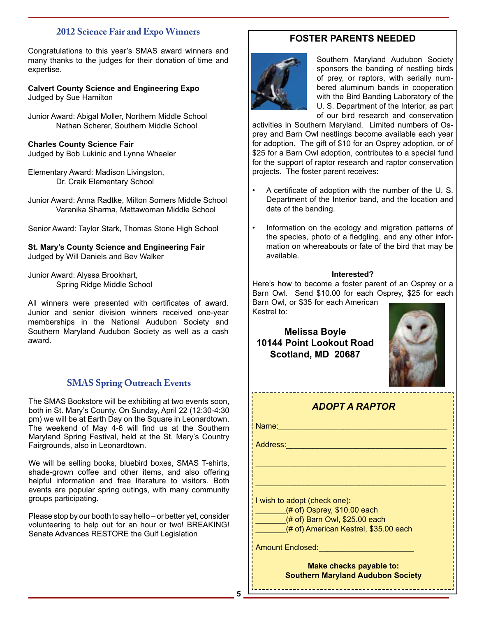# **2012 Science Fair and Expo Winners**

Congratulations to this year's SMAS award winners and many thanks to the judges for their donation of time and expertise.

**Calvert County Science and Engineering Expo** Judged by Sue Hamilton

Junior Award: Abigal Moller, Northern Middle School Nathan Scherer, Southern Middle School

**Charles County Science Fair** Judged by Bob Lukinic and Lynne Wheeler

Elementary Award: Madison Livingston, Dr. Craik Elementary School

Junior Award: Anna Radtke, Milton Somers Middle School Varanika Sharma, Mattawoman Middle School

Senior Award: Taylor Stark, Thomas Stone High School

**St. Mary's County Science and Engineering Fair** Judged by Will Daniels and Bev Walker

Junior Award: Alyssa Brookhart, Spring Ridge Middle School

All winners were presented with certificates of award. Junior and senior division winners received one-year memberships in the National Audubon Society and Southern Maryland Audubon Society as well as a cash award.

# **SMAS Spring Outreach Events**

The SMAS Bookstore will be exhibiting at two events soon, both in St. Mary's County. On Sunday, April 22 (12:30-4:30 pm) we will be at Earth Day on the Square in Leonardtown. The weekend of May 4-6 will find us at the Southern Maryland Spring Festival, held at the St. Mary's Country Fairgrounds, also in Leonardtown.

We will be selling books, bluebird boxes, SMAS T-shirts, shade-grown coffee and other items, and also offering helpful information and free literature to visitors. Both events are popular spring outings, with many community groups participating.

Please stop by our booth to say hello – or better yet, consider volunteering to help out for an hour or two! BREAKING! Senate Advances RESTORE the Gulf Legislation

# **FOSTER PARENTS NEEDED**



Southern Maryland Audubon Society sponsors the banding of nestling birds of prey, or raptors, with serially numbered aluminum bands in cooperation with the Bird Banding Laboratory of the U. S. Department of the Interior, as part of our bird research and conservation

activities in Southern Maryland. Limited numbers of Osprey and Barn Owl nestlings become available each year for adoption. The gift of \$10 for an Osprey adoption, or of \$25 for a Barn Owl adoption, contributes to a special fund for the support of raptor research and raptor conservation projects. The foster parent receives:

- A certificate of adoption with the number of the U. S. Department of the Interior band, and the location and date of the banding.
- Information on the ecology and migration patterns of the species, photo of a fledgling, and any other information on whereabouts or fate of the bird that may be available.

## **Interested?**

Here's how to become a foster parent of an Osprey or a Barn Owl. Send \$10.00 for each Osprey, \$25 for each Barn Owl, or \$35 for each American

Kestrel to:

**Melissa Boyle 10144 Point Lookout Road Scotland, MD 20687**



| <b>ADOPT A RAPTOR</b>                                                                          |  |  |  |  |  |  |
|------------------------------------------------------------------------------------------------|--|--|--|--|--|--|
| Name:                                                                                          |  |  |  |  |  |  |
| Address:                                                                                       |  |  |  |  |  |  |
|                                                                                                |  |  |  |  |  |  |
|                                                                                                |  |  |  |  |  |  |
| I wish to adopt (check one):<br>$(# of)$ Osprey, \$10.00 each<br>(# of) Barn Owl, \$25.00 each |  |  |  |  |  |  |
| (# of) American Kestrel, \$35.00 each                                                          |  |  |  |  |  |  |
| <b>Amount Enclosed:</b>                                                                        |  |  |  |  |  |  |

**Make checks payable to: Southern Maryland Audubon Society**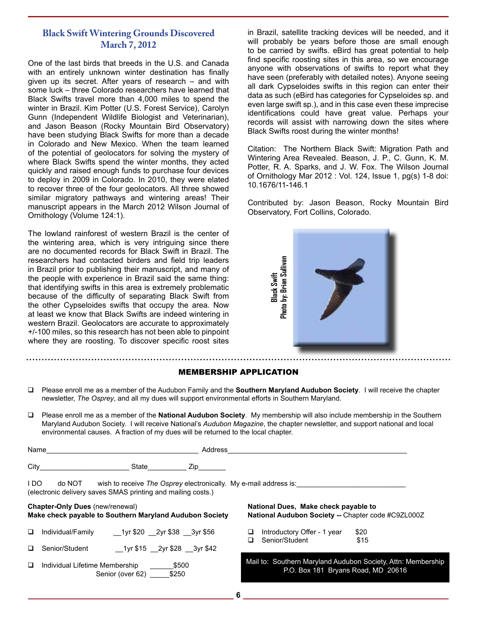# **Black Swift Wintering Grounds Discovered March 7, 2012**

One of the last birds that breeds in the U.S. and Canada with an entirely unknown winter destination has finally given up its secret. After years of research – and with some luck – three Colorado researchers have learned that Black Swifts travel more than 4,000 miles to spend the winter in Brazil. Kim Potter (U.S. Forest Service), Carolyn Gunn (Independent Wildlife Biologist and Veterinarian), and Jason Beason (Rocky Mountain Bird Observatory) have been studying Black Swifts for more than a decade in Colorado and New Mexico. When the team learned of the potential of geolocators for solving the mystery of where Black Swifts spend the winter months, they acted quickly and raised enough funds to purchase four devices to deploy in 2009 in Colorado. In 2010, they were elated to recover three of the four geolocators. All three showed similar migratory pathways and wintering areas! Their manuscript appears in the March 2012 Wilson Journal of Ornithology (Volume 124:1).

The lowland rainforest of western Brazil is the center of the wintering area, which is very intriguing since there are no documented records for Black Swift in Brazil. The researchers had contacted birders and field trip leaders in Brazil prior to publishing their manuscript, and many of the people with experience in Brazil said the same thing: that identifying swifts in this area is extremely problematic because of the difficulty of separating Black Swift from the other Cypseloides swifts that occupy the area. Now at least we know that Black Swifts are indeed wintering in western Brazil. Geolocators are accurate to approximately +/-100 miles, so this research has not been able to pinpoint where they are roosting. To discover specific roost sites

in Brazil, satellite tracking devices will be needed, and it will probably be years before those are small enough to be carried by swifts. eBird has great potential to help find specific roosting sites in this area, so we encourage anyone with observations of swifts to report what they have seen (preferably with detailed notes). Anyone seeing all dark Cypseloides swifts in this region can enter their data as such (eBird has categories for Cypseloides sp. and even large swift sp.), and in this case even these imprecise identifications could have great value. Perhaps your records will assist with narrowing down the sites where Black Swifts roost during the winter months!

Citation: The Northern Black Swift: Migration Path and Wintering Area Revealed. Beason, J. P., C. Gunn, K. M. Potter, R. A. Sparks, and J. W. Fox. The Wilson Journal of Ornithology Mar 2012 : Vol. 124, Issue 1, pg(s) 1-8 doi: 10.1676/11-146.1

Contributed by: Jason Beason, Rocky Mountain Bird Observatory, Fort Collins, Colorado.



## MEMBERSHIP APPLICATION

- Please enroll me as a member of the Audubon Family and the **Southern Maryland Audubon Society**. I will receive the chapter newsletter, *The Osprey*, and all my dues will support environmental efforts in Southern Maryland.
- Please enroll me as a member of the **National Audubon Society**. My membership will also include membership in the Southern Maryland Audubon Society. I will receive National's *Audubon Magazine*, the chapter newsletter, and support national and local environmental causes. A fraction of my dues will be returned to the local chapter.

| Name                                                                                              |                                                                        |                            | Address                                                          |                                                                                            |                                               |              |  |
|---------------------------------------------------------------------------------------------------|------------------------------------------------------------------------|----------------------------|------------------------------------------------------------------|--------------------------------------------------------------------------------------------|-----------------------------------------------|--------------|--|
|                                                                                                   |                                                                        | State                      | Zip <sub>ra</sub>                                                |                                                                                            |                                               |              |  |
| I DO                                                                                              | do NOT<br>(electronic delivery saves SMAS printing and mailing costs.) |                            | wish to receive The Osprey electronically. My e-mail address is: |                                                                                            |                                               |              |  |
| <b>Chapter-Only Dues (new/renewal)</b><br>Make check payable to Southern Maryland Audubon Society |                                                                        |                            |                                                                  | National Dues, Make check payable to<br>National Audubon Society -- Chapter code #C9ZL000Z |                                               |              |  |
| □                                                                                                 | Individual/Family                                                      | 1yr \$20 2yr \$38 3yr \$56 |                                                                  | ⊔                                                                                          | Introductory Offer - 1 year<br>Senior/Student | \$20<br>\$15 |  |
| □                                                                                                 | Senior/Student                                                         | 1yr \$15 2yr \$28 3yr \$42 |                                                                  |                                                                                            |                                               |              |  |

 Individual Lifetime Membership \_\_\_\_\_\_\$500 Senior (over 62) \_\_\_\_\_\_\_ \$250

#### Mail to: Southern Maryland Audubon Society, Attn: Membership P.O. Box 181 Bryans Road, MD 20616